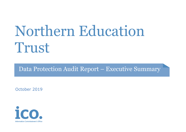# Northern Education Trust

Data Protection Audit Report – Executive Summary

October 2019

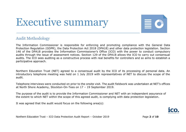# Executive summary



## Audit Methodology

The Information Commissioner is responsible for enforcing and promoting compliance with the General Data Protection Regulation (GDPR), the Data Protection Act 2018 (DPA18) and other data protection legislation. Section 146 of the DPA18 provides the Information Commissioner's Office (ICO) with the power to conduct compulsory audits through the issue of assessment notices. Section 129 of the DPA18 allows the ICO to carry out consensual audits. The ICO sees auditing as a constructive process with real benefits for controllers and so aims to establish a participative approach.

Northern Education Trust (NET) agreed to a consensual audit by the ICO of its processing of personal data. An introductory telephone meeting was held on 1 July 2019 with representatives of NET to discuss the scope of the audit.

Telephone interviews were conducted on prior to the onsite visit. The audit fieldwork was undertaken at NET's offices at North Shore Academy, Stockton-On-Tees on 17 – 19 September 2019.

The purpose of the audit is to provide the Information Commissioner and NET with an independent assurance of the extent to which NET within the scope of this agreed audit, is complying with data protection legislation.

It was agreed that the audit would focus on the following area(s):



Northern Education Trust – ICO Data Protection Audit Report – October 2019 Page **2** of **10**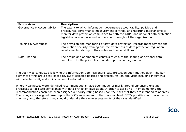| <b>Scope Area</b>           | <b>Description</b>                                                                                                                                                                                                                                                                                                 |  |
|-----------------------------|--------------------------------------------------------------------------------------------------------------------------------------------------------------------------------------------------------------------------------------------------------------------------------------------------------------------|--|
| Governance & Accountability | The extent to which information governance accountability, policies and<br>procedures, performance measurement controls, and reporting mechanisms to<br>monitor data protection compliance to both the GDPR and national data protection<br>legislation are in place and in operation throughout the organisation. |  |
| Training & Awareness        | The provision and monitoring of staff data protection, records management and<br>information security training and the awareness of data protection regulation<br>requirements relating to their roles and responsibilities.                                                                                       |  |
| Data Sharing                | The design and operation of controls to ensure the sharing of personal data<br>complies with the principles of all data protection legislation.                                                                                                                                                                    |  |

The audit was conducted following the Information Commissioner's data protection audit methodology. The key elements of this are a desk-based review of selected policies and procedures, on-site visits including interviews with selected staff, and an inspection of selected records.

Where weaknesses were identified recommendations have been made, primarily around enhancing existing processes to facilitate compliance with data protection legislation. In order to assist NET in implementing the recommendations each has been assigned a priority rating based upon the risks that they are intended to address. The ratings are assigned based upon the ICO's assessment of the risks involved. NET's priorities and risk appetite may vary and, therefore, they should undertake their own assessments of the risks identified.



Northern Education Trust – ICO Data Protection Audit Report – October 2019 Page 3 of 10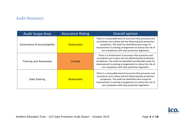# Audit Summary

| <b>Audit Scope Area</b>     | <b>Assurance Rating</b> | <b>Overall opinion</b>                                                                                                                                                                                                                                                                                  |
|-----------------------------|-------------------------|---------------------------------------------------------------------------------------------------------------------------------------------------------------------------------------------------------------------------------------------------------------------------------------------------------|
| Governance & Accountability | Reasonable              | There is a reasonable level of assurance that processes and<br>procedures are in place and are delivering data protection<br>compliance. The audit has identified some scope for<br>improvement in existing arrangements to reduce the risk of<br>non-compliance with data protection legislation.      |
| Training and Awareness      | Limited                 | There is a limited level of assurance that processes and<br>procedures are in place and are delivering data protection<br>compliance. The audit has identified considerable scope for<br>improvement in existing arrangements to reduce the risk of<br>non-compliance with data protection legislation. |
| Data Sharing                | Reasonable              | There is a reasonable level of assurance that processes and<br>procedures are in place and are delivering data protection<br>compliance. The audit has identified some scope for<br>improvement in existing arrangements to reduce the risk of<br>non-compliance with data protection legislation.      |



Northern Education Trust - ICO Data Protection Audit Report - October 2019 **Page 4** of 10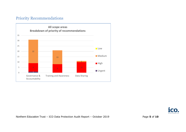# Priority Recommendations



Northern Education Trust - ICO Data Protection Audit Report - October 2019 Page 5 of 10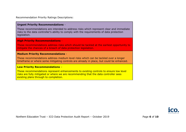Recommendation Priority Ratings Descriptions:

#### **Urgent Priority Recommendations** -

These recommendations are intended to address risks which represent clear and immediate risks to the data controller's ability to comply with the requirements of data protection legislation.

#### **High Priority Recommendations** -

These recommendations address risks which should be tackled at the earliest opportunity to mitigate the chances of a breach of data protection legislation.

#### **Medium Priority Recommendations** -

These recommendations address medium level risks which can be tackled over a longer timeframe or where some mitigating controls are already in place, but could be enhanced.

#### **Low Priority Recommendations** –

These recommendations represent enhancements to existing controls to ensure low level risks are fully mitigated or where we are recommending that the data controller sees existing plans through to completion.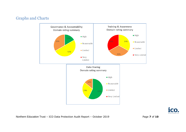# Graphs and Charts





Northern Education Trust - ICO Data Protection Audit Report - October 2019 Page 7 of 10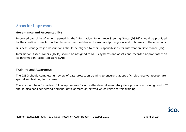## Areas for Improvement

#### **Governance and Accountability**

Improved oversight of actions agreed by the Information Governance Steering Group (IGSG) should be provided by the creation of an Action Plan to record and evidence the ownership, progress and outcomes of these actions.

Business Managers' job descriptions should be aligned to their responsibilities for Information Governance (IG)*.* 

Information Asset Owners (IAOs) should be assigned to NET's systems and assets and recorded appropriately on its Information Asset Registers (IARs)

#### **Training and Awareness**

The IGSG should complete its review of data protection training to ensure that specific roles receive appropriate specialised training in this area.

There should be a formalised follow up process for non-attendees at mandatory data protection training, and NET should also consider setting personal development objectives which relate to this training.



Northern Education Trust - ICO Data Protection Audit Report - October 2019 Page 8 of 10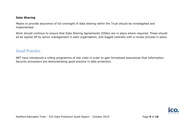#### **Data Sharing**

Means to provide assurance of full oversight of data sharing within the Trust should be investigated and implemented.

Work should continue to ensure that Data Sharing Agreements (DSAs) are in place where required. These should all be signed off by senior management in each organisation, and logged centrally with a review process in place.

# Good Practice

NET have introduced a rolling programme of site visits in order to gain formalised assurances that Information Security processors are demonstrating good practice in data protection.